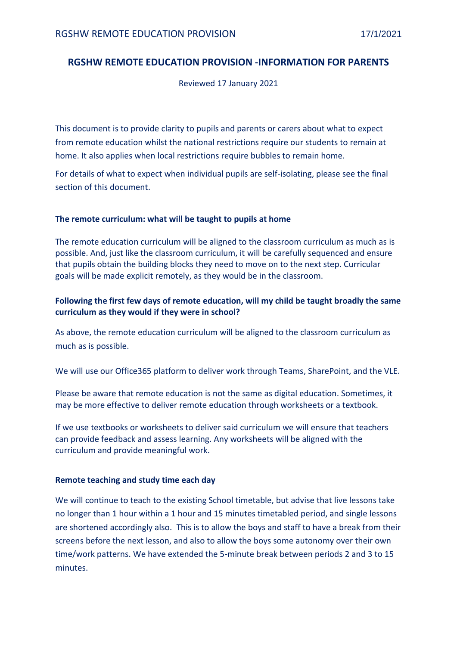# **RGSHW REMOTE EDUCATION PROVISION -INFORMATION FOR PARENTS**

Reviewed 17 January 2021

This document is to provide clarity to pupils and parents or carers about what to expect from remote education whilst the national restrictions require our students to remain at home. It also applies when local restrictions require bubbles to remain home.

For details of what to expect when individual pupils are self-isolating, please see the final section of this document.

## **The remote curriculum: what will be taught to pupils at home**

The remote education curriculum will be aligned to the classroom curriculum as much as is possible. And, just like the classroom curriculum, it will be carefully sequenced and ensure that pupils obtain the building blocks they need to move on to the next step. Curricular goals will be made explicit remotely, as they would be in the classroom.

## **Following the first few days of remote education, will my child be taught broadly the same curriculum as they would if they were in school?**

As above, the remote education curriculum will be aligned to the classroom curriculum as much as is possible.

We will use our Office365 platform to deliver work through Teams, SharePoint, and the VLE.

Please be aware that remote education is not the same as digital education. Sometimes, it may be more effective to deliver remote education through worksheets or a textbook.

If we use textbooks or worksheets to deliver said curriculum we will ensure that teachers can provide feedback and assess learning. Any worksheets will be aligned with the curriculum and provide meaningful work.

#### **Remote teaching and study time each day**

We will continue to teach to the existing School timetable, but advise that live lessons take no longer than 1 hour within a 1 hour and 15 minutes timetabled period, and single lessons are shortened accordingly also. This is to allow the boys and staff to have a break from their screens before the next lesson, and also to allow the boys some autonomy over their own time/work patterns. We have extended the 5-minute break between periods 2 and 3 to 15 minutes.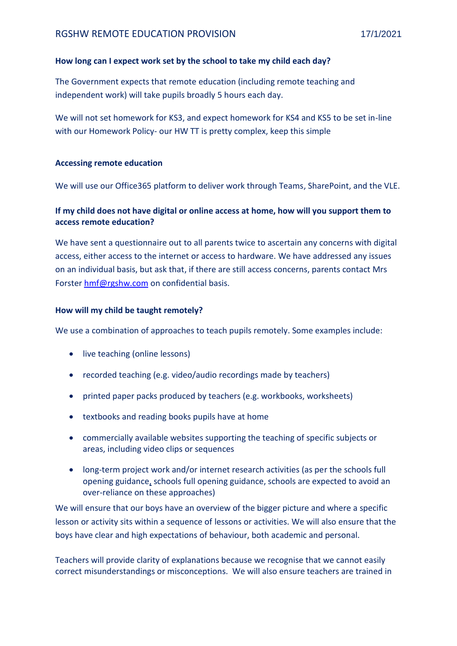## **How long can I expect work set by the school to take my child each day?**

The Government expects that remote education (including remote teaching and independent work) will take pupils broadly 5 hours each day.

We will not set homework for KS3, and expect homework for KS4 and KS5 to be set in-line with our Homework Policy- our HW TT is pretty complex, keep this simple

## **Accessing remote education**

We will use our Office365 platform to deliver work through Teams, SharePoint, and the VLE.

# **If my child does not have digital or online access at home, how will you support them to access remote education?**

We have sent a questionnaire out to all parents twice to ascertain any concerns with digital access, either access to the internet or access to hardware. We have addressed any issues on an individual basis, but ask that, if there are still access concerns, parents contact Mrs Forste[r hmf@rgshw.com](mailto:hmf@rgshw.com) on confidential basis.

## **How will my child be taught remotely?**

We use a combination of approaches to teach pupils remotely. Some examples include:

- live teaching (online lessons)
- recorded teaching (e.g. video/audio recordings made by teachers)
- printed paper packs produced by teachers (e.g. workbooks, worksheets)
- textbooks and reading books pupils have at home
- commercially available websites supporting the teaching of specific subjects or areas, including video clips or sequences
- long-term project work and/or internet research activities (as per the [schools full](https://www.gov.uk/government/publications/actions-for-schools-during-the-coronavirus-outbreak/guidance-for-full-opening-schools#res)  [opening guidance,](https://www.gov.uk/government/publications/actions-for-schools-during-the-coronavirus-outbreak/guidance-for-full-opening-schools#res) schools full opening guidance, schools are expected to avoid an over-reliance on these approaches)

We will ensure that our boys have an overview of the bigger picture and where a specific lesson or activity sits within a sequence of lessons or activities. We will also ensure that the boys have clear and high expectations of behaviour, both academic and personal.

Teachers will provide clarity of explanations because we recognise that we cannot easily correct misunderstandings or misconceptions. We will also ensure teachers are trained in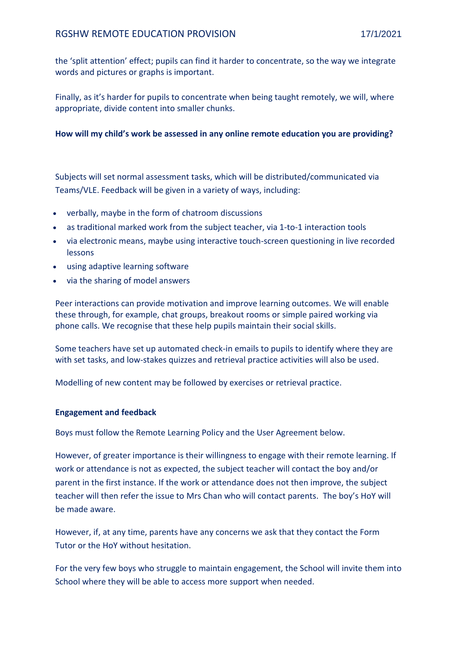the 'split attention' effect; pupils can find it harder to concentrate, so the way we integrate words and pictures or graphs is important.

Finally, as it's harder for pupils to concentrate when being taught remotely, we will, where appropriate, divide content into smaller chunks.

## **How will my child's work be assessed in any online remote education you are providing?**

Subjects will set normal assessment tasks, which will be distributed/communicated via Teams/VLE. Feedback will be given in a variety of ways, including:

- verbally, maybe in the form of chatroom discussions
- as traditional marked work from the subject teacher, via 1-to-1 interaction tools
- via electronic means, maybe using interactive touch-screen questioning in live recorded lessons
- using adaptive learning software
- via the sharing of model answers

Peer interactions can provide motivation and improve learning outcomes. We will enable these through, for example, chat groups, breakout rooms or simple paired working via phone calls. We recognise that these help pupils maintain their social skills.

Some teachers have set up automated check-in emails to pupils to identify where they are with set tasks, and low-stakes quizzes and retrieval practice activities will also be used.

Modelling of new content may be followed by exercises or retrieval practice.

## **Engagement and feedback**

Boys must follow the Remote Learning Policy and the User Agreement below.

However, of greater importance is their willingness to engage with their remote learning. If work or attendance is not as expected, the subject teacher will contact the boy and/or parent in the first instance. If the work or attendance does not then improve, the subject teacher will then refer the issue to Mrs Chan who will contact parents. The boy's HoY will be made aware.

However, if, at any time, parents have any concerns we ask that they contact the Form Tutor or the HoY without hesitation.

For the very few boys who struggle to maintain engagement, the School will invite them into School where they will be able to access more support when needed.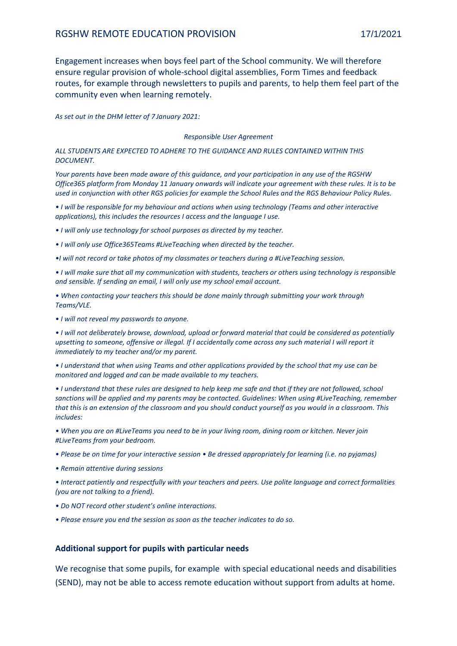Engagement increases when boys feel part of the School community. We will therefore ensure regular provision of whole-school digital assemblies, Form Times and feedback routes, for example through newsletters to pupils and parents, to help them feel part of the community even when learning remotely.

*As set out in the DHM letter of 7 January 2021:*

#### *Responsible User Agreement*

*ALL STUDENTS ARE EXPECTED TO ADHERE TO THE GUIDANCE AND RULES CONTAINED WITHIN THIS DOCUMENT.* 

*Your parents have been made aware of this guidance, and your participation in any use of the RGSHW Office365 platform from Monday 11 January onwards will indicate your agreement with these rules. It is to be used in conjunction with other RGS policies for example the School Rules and the RGS Behaviour Policy Rules.* 

*• I will be responsible for my behaviour and actions when using technology (Teams and other interactive applications), this includes the resources I access and the language I use.* 

*• I will only use technology for school purposes as directed by my teacher.* 

*• I will only use Office365Teams #LiveTeaching when directed by the teacher.* 

*•I will not record or take photos of my classmates or teachers during a #LiveTeaching session.* 

*• I will make sure that all my communication with students, teachers or others using technology is responsible and sensible. If sending an email, I will only use my school email account.* 

*• When contacting your teachers this should be done mainly through submitting your work through Teams/VLE.* 

*• I will not reveal my passwords to anyone.* 

*• I will not deliberately browse, download, upload or forward material that could be considered as potentially upsetting to someone, offensive or illegal. If I accidentally come across any such material I will report it immediately to my teacher and/or my parent.* 

*• I understand that when using Teams and other applications provided by the school that my use can be monitored and logged and can be made available to my teachers.* 

*• I understand that these rules are designed to help keep me safe and that if they are not followed, school sanctions will be applied and my parents may be contacted. Guidelines: When using #LiveTeaching, remember that this is an extension of the classroom and you should conduct yourself as you would in a classroom. This includes:* 

*• When you are on #LiveTeams you need to be in your living room, dining room or kitchen. Never join #LiveTeams from your bedroom.* 

*• Please be on time for your interactive session • Be dressed appropriately for learning (i.e. no pyjamas)* 

*• Remain attentive during sessions* 

*• Interact patiently and respectfully with your teachers and peers. Use polite language and correct formalities (you are not talking to a friend).* 

*• Do NOT record other student's online interactions.* 

*• Please ensure you end the session as soon as the teacher indicates to do so.*

#### **Additional support for pupils with particular needs**

We recognise that some pupils, for example with special educational needs and disabilities (SEND), may not be able to access remote education without support from adults at home.